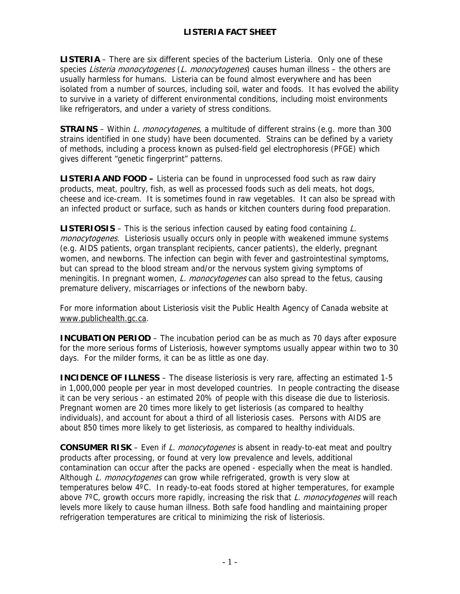**LISTERIA** – There are six different species of the bacterium Listeria. Only one of these species Listeria monocytogenes (L. monocytogenes) causes human illness – the others are usually harmless for humans. Listeria can be found almost everywhere and has been isolated from a number of sources, including soil, water and foods. It has evolved the ability to survive in a variety of different environmental conditions, including moist environments like refrigerators, and under a variety of stress conditions.

**STRAINS** – Within L. monocytogenes, a multitude of different strains (e.g. more than 300 strains identified in one study) have been documented. Strains can be defined by a variety of methods, including a process known as pulsed-field gel electrophoresis (PFGE) which gives different "genetic fingerprint" patterns.

**LISTERIA AND FOOD –** Listeria can be found in unprocessed food such as raw dairy products, meat, poultry, fish, as well as processed foods such as deli meats, hot dogs, cheese and ice-cream. It is sometimes found in raw vegetables. It can also be spread with an infected product or surface, such as hands or kitchen counters during food preparation.

**LISTERIOSIS** – This is the serious infection caused by eating food containing L. monocytogenes. Listeriosis usually occurs only in people with weakened immune systems (e.g. AIDS patients, organ transplant recipients, cancer patients), the elderly, pregnant women, and newborns. The infection can begin with fever and gastrointestinal symptoms, but can spread to the blood stream and/or the nervous system giving symptoms of meningitis. In pregnant women, L. monocytogenes can also spread to the fetus, causing premature delivery, miscarriages or infections of the newborn baby.

For more information about Listeriosis visit the Public Health Agency of Canada website at [www.publichealth.gc.ca.](http://www.publichealth.gc.ca/)

**INCUBATION PERIOD** – The incubation period can be as much as 70 days after exposure for the more serious forms of Listeriosis, however symptoms usually appear within two to 30 days. For the milder forms, it can be as little as one day.

**INCIDENCE OF ILLNESS** – The disease listeriosis is very rare, affecting an estimated 1-5 in 1,000,000 people per year in most developed countries. In people contracting the disease it can be very serious - an estimated 20% of people with this disease die due to listeriosis. Pregnant women are 20 times more likely to get listeriosis (as compared to healthy individuals), and account for about a third of all listeriosis cases. Persons with AIDS are about 850 times more likely to get listeriosis, as compared to healthy individuals.

**CONSUMER RISK** – Even if L. monocytogenes is absent in ready-to-eat meat and poultry products after processing, or found at very low prevalence and levels, additional contamination can occur after the packs are opened - especially when the meat is handled. Although L. monocytogenes can grow while refrigerated, growth is very slow at temperatures below 4ºC. In ready-to-eat foods stored at higher temperatures, for example above  $7^{\circ}$ C, growth occurs more rapidly, increasing the risk that L. monocytogenes will reach levels more likely to cause human illness. Both safe food handling and maintaining proper refrigeration temperatures are critical to minimizing the risk of listeriosis.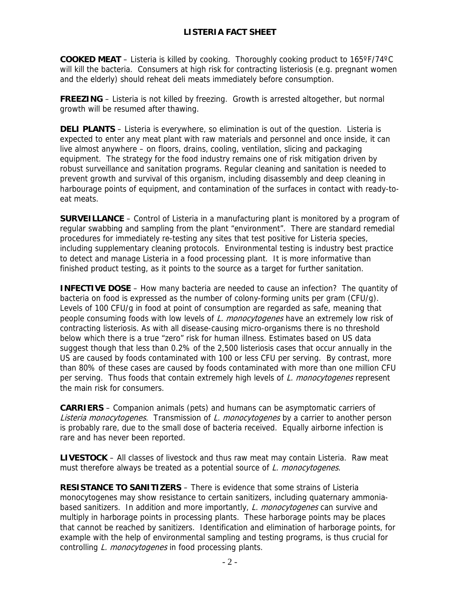**COOKED MEAT** – Listeria is killed by cooking. Thoroughly cooking product to 165ºF/74ºC will kill the bacteria. Consumers at high risk for contracting listeriosis (e.g. pregnant women and the elderly) should reheat deli meats immediately before consumption.

**FREEZING** – Listeria is not killed by freezing. Growth is arrested altogether, but normal growth will be resumed after thawing.

**DELI PLANTS** – Listeria is everywhere, so elimination is out of the question. Listeria is expected to enter any meat plant with raw materials and personnel and once inside, it can live almost anywhere – on floors, drains, cooling, ventilation, slicing and packaging equipment. The strategy for the food industry remains one of risk mitigation driven by robust surveillance and sanitation programs. Regular cleaning and sanitation is needed to prevent growth and survival of this organism, including disassembly and deep cleaning in harbourage points of equipment, and contamination of the surfaces in contact with ready-toeat meats.

**SURVEILLANCE** – Control of Listeria in a manufacturing plant is monitored by a program of regular swabbing and sampling from the plant "environment". There are standard remedial procedures for immediately re-testing any sites that test positive for Listeria species, including supplementary cleaning protocols. Environmental testing is industry best practice to detect and manage Listeria in a food processing plant. It is more informative than finished product testing, as it points to the source as a target for further sanitation.

**INFECTIVE DOSE** – How many bacteria are needed to cause an infection? The quantity of bacteria on food is expressed as the number of colony-forming units per gram (CFU/g). Levels of 100 CFU/g in food at point of consumption are regarded as safe, meaning that people consuming foods with low levels of L. monocytogenes have an extremely low risk of contracting listeriosis. As with all disease-causing micro-organisms there is no threshold below which there is a true "zero" risk for human illness. Estimates based on US data suggest though that less than 0.2% of the 2,500 listeriosis cases that occur annually in the US are caused by foods contaminated with 100 or less CFU per serving. By contrast, more than 80% of these cases are caused by foods contaminated with more than one million CFU per serving. Thus foods that contain extremely high levels of L. monocytogenes represent the main risk for consumers.

**CARRIERS** – Companion animals (pets) and humans can be asymptomatic carriers of Listeria monocytogenes. Transmission of L. monocytogenes by a carrier to another person is probably rare, due to the small dose of bacteria received. Equally airborne infection is rare and has never been reported.

**LIVESTOCK** – All classes of livestock and thus raw meat may contain Listeria. Raw meat must therefore always be treated as a potential source of L. monocytogenes.

**RESISTANCE TO SANITIZERS** – There is evidence that some strains of Listeria monocytogenes may show resistance to certain sanitizers, including quaternary ammoniabased sanitizers. In addition and more importantly, L. monocytogenes can survive and multiply in harborage points in processing plants. These harborage points may be places that cannot be reached by sanitizers. Identification and elimination of harborage points, for example with the help of environmental sampling and testing programs, is thus crucial for controlling L. monocytogenes in food processing plants.